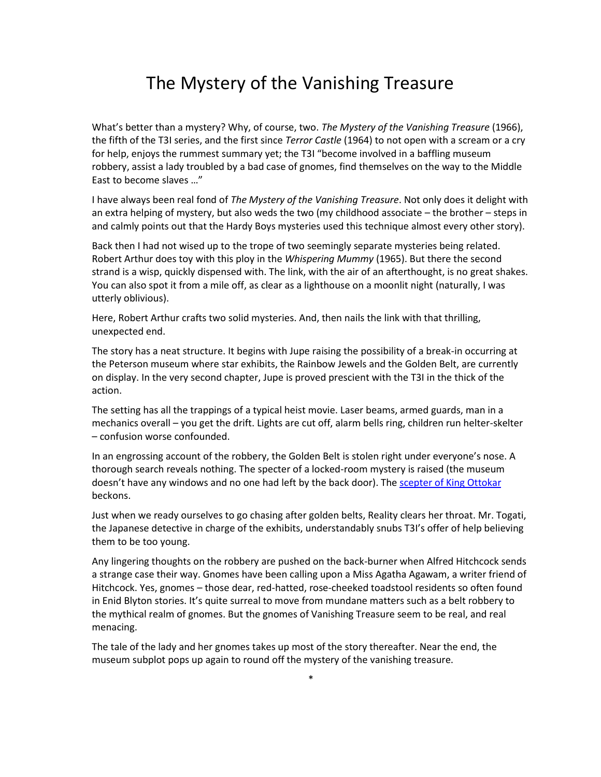## The Mystery of the Vanishing Treasure

What's better than a mystery? Why, of course, two. *The Mystery of the Vanishing Treasure* (1966), the fifth of the T3I series, and the first since *Terror Castle* (1964) to not open with a scream or a cry for help, enjoys the rummest summary yet; the T3I "become involved in a baffling museum robbery, assist a lady troubled by a bad case of gnomes, find themselves on the way to the Middle East to become slaves …"

I have always been real fond of *The Mystery of the Vanishing Treasure*. Not only does it delight with an extra helping of mystery, but also weds the two (my childhood associate – the brother – steps in and calmly points out that the Hardy Boys mysteries used this technique almost every other story).

Back then I had not wised up to the trope of two seemingly separate mysteries being related. Robert Arthur does toy with this ploy in the *Whispering Mummy* (1965). But there the second strand is a wisp, quickly dispensed with. The link, with the air of an afterthought, is no great shakes. You can also spot it from a mile off, as clear as a lighthouse on a moonlit night (naturally, I was utterly oblivious).

Here, Robert Arthur crafts two solid mysteries. And, then nails the link with that thrilling, unexpected end.

The story has a neat structure. It begins with Jupe raising the possibility of a break-in occurring at the Peterson museum where star exhibits, the Rainbow Jewels and the Golden Belt, are currently on display. In the very second chapter, Jupe is proved prescient with the T3I in the thick of the action.

The setting has all the trappings of a typical heist movie. Laser beams, armed guards, man in a mechanics overall – you get the drift. Lights are cut off, alarm bells ring, children run helter-skelter – confusion worse confounded.

In an engrossing account of the robbery, the Golden Belt is stolen right under everyone's nose. A thorough search reveals nothing. The specter of a locked-room mystery is raised (the museum doesn't have any windows and no one had left by the back door). The [scepter of King Ottokar](https://en.wikipedia.org/wiki/King_Ottokar%27s_Sceptre) beckons.

Just when we ready ourselves to go chasing after golden belts, Reality clears her throat. Mr. Togati, the Japanese detective in charge of the exhibits, understandably snubs T3I's offer of help believing them to be too young.

Any lingering thoughts on the robbery are pushed on the back-burner when Alfred Hitchcock sends a strange case their way. Gnomes have been calling upon a Miss Agatha Agawam, a writer friend of Hitchcock. Yes, gnomes – those dear, red-hatted, rose-cheeked toadstool residents so often found in Enid Blyton stories. It's quite surreal to move from mundane matters such as a belt robbery to the mythical realm of gnomes. But the gnomes of Vanishing Treasure seem to be real, and real menacing.

The tale of the lady and her gnomes takes up most of the story thereafter. Near the end, the museum subplot pops up again to round off the mystery of the vanishing treasure.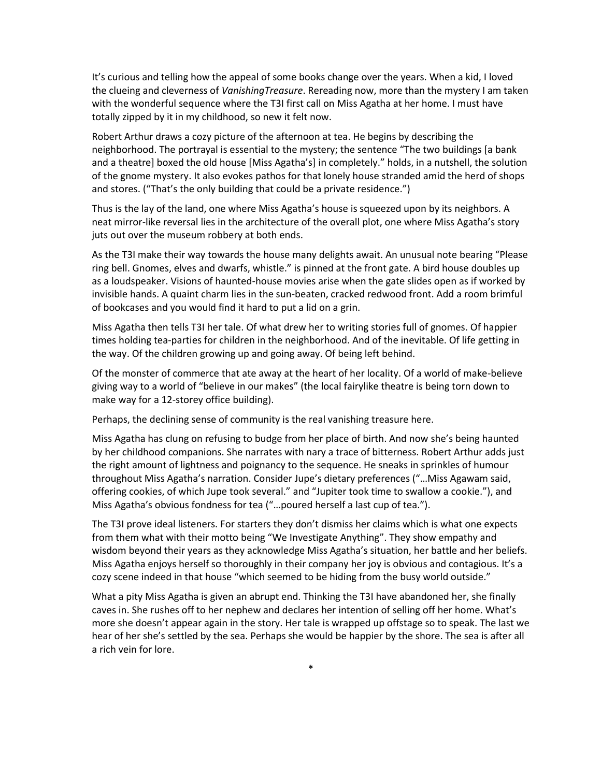It's curious and telling how the appeal of some books change over the years. When a kid, I loved the clueing and cleverness of *VanishingTreasure*. Rereading now, more than the mystery I am taken with the wonderful sequence where the T3I first call on Miss Agatha at her home. I must have totally zipped by it in my childhood, so new it felt now.

Robert Arthur draws a cozy picture of the afternoon at tea. He begins by describing the neighborhood. The portrayal is essential to the mystery; the sentence "The two buildings [a bank and a theatre) boxed the old house [Miss Agatha's] in completely." holds, in a nutshell, the solution of the gnome mystery. It also evokes pathos for that lonely house stranded amid the herd of shops and stores. ("That's the only building that could be a private residence.")

Thus is the lay of the land, one where Miss Agatha's house is squeezed upon by its neighbors. A neat mirror-like reversal lies in the architecture of the overall plot, one where Miss Agatha's story juts out over the museum robbery at both ends.

As the T3I make their way towards the house many delights await. An unusual note bearing "Please ring bell. Gnomes, elves and dwarfs, whistle." is pinned at the front gate. A bird house doubles up as a loudspeaker. Visions of haunted-house movies arise when the gate slides open as if worked by invisible hands. A quaint charm lies in the sun-beaten, cracked redwood front. Add a room brimful of bookcases and you would find it hard to put a lid on a grin.

Miss Agatha then tells T3I her tale. Of what drew her to writing stories full of gnomes. Of happier times holding tea-parties for children in the neighborhood. And of the inevitable. Of life getting in the way. Of the children growing up and going away. Of being left behind.

Of the monster of commerce that ate away at the heart of her locality. Of a world of make-believe giving way to a world of "believe in our makes" (the local fairylike theatre is being torn down to make way for a 12-storey office building).

Perhaps, the declining sense of community is the real vanishing treasure here.

Miss Agatha has clung on refusing to budge from her place of birth. And now she's being haunted by her childhood companions. She narrates with nary a trace of bitterness. Robert Arthur adds just the right amount of lightness and poignancy to the sequence. He sneaks in sprinkles of humour throughout Miss Agatha's narration. Consider Jupe's dietary preferences ("…Miss Agawam said, offering cookies, of which Jupe took several." and "Jupiter took time to swallow a cookie."), and Miss Agatha's obvious fondness for tea ("…poured herself a last cup of tea.").

The T3I prove ideal listeners. For starters they don't dismiss her claims which is what one expects from them what with their motto being "We Investigate Anything". They show empathy and wisdom beyond their years as they acknowledge Miss Agatha's situation, her battle and her beliefs. Miss Agatha enjoys herself so thoroughly in their company her joy is obvious and contagious. It's a cozy scene indeed in that house "which seemed to be hiding from the busy world outside."

What a pity Miss Agatha is given an abrupt end. Thinking the T3I have abandoned her, she finally caves in. She rushes off to her nephew and declares her intention of selling off her home. What's more she doesn't appear again in the story. Her tale is wrapped up offstage so to speak. The last we hear of her she's settled by the sea. Perhaps she would be happier by the shore. The sea is after all a rich vein for lore.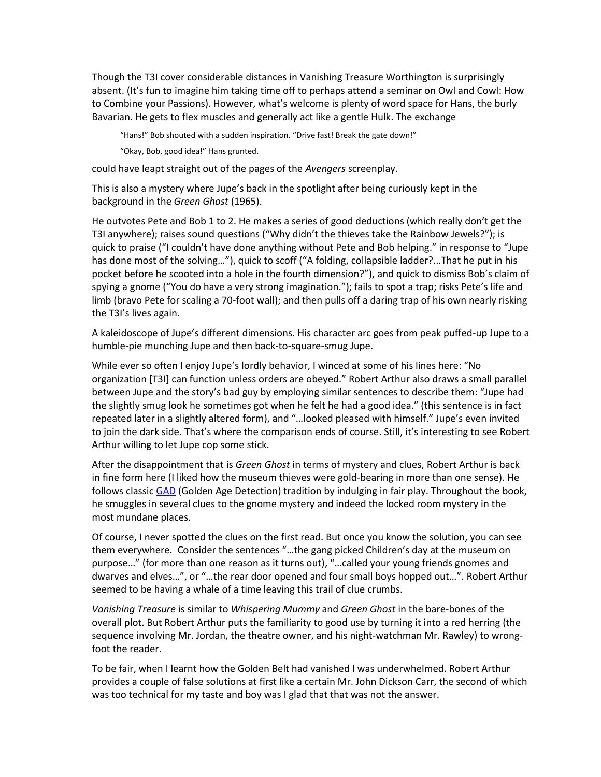Though the T3I cover considerable distances in Vanishing Treasure Worthington is surprisingly absent. (It's fun to imagine him taking time off to perhaps attend a seminar on Owl and Cowl: How to Combine your Passions). However, what's welcome is plenty of word space for Hans, the burly Bavarian. He gets to flex muscles and generally act like a gentle Hulk. The exchange

"Hans!" Bob shouted with a sudden inspiration. "Drive fast! Break the gate down!"

"Okay, Bob, good idea!" Hans grunted.

could have leapt straight out of the pages of the *Avengers* screenplay.

This is also a mystery where Jupe's back in the spotlight after being curiously kept in the background in the *Green Ghost* (1965).

He outvotes Pete and Bob 1 to 2. He makes a series of good deductions (which really don't get the T3I anywhere); raises sound questions ("Why didn't the thieves take the Rainbow Jewels?"); is quick to praise ("I couldn't have done anything without Pete and Bob helping." in response to "Jupe has done most of the solving…"), quick to scoff ("A folding, collapsible ladder?...That he put in his pocket before he scooted into a hole in the fourth dimension?"), and quick to dismiss Bob's claim of spying a gnome ("You do have a very strong imagination."); fails to spot a trap; risks Pete's life and limb (bravo Pete for scaling a 70-foot wall); and then pulls off a daring trap of his own nearly risking the T3I's lives again.

A kaleidoscope of Jupe's different dimensions. His character arc goes from peak puffed-up Jupe to a humble-pie munching Jupe and then back-to-square-smug Jupe.

While ever so often I enjoy Jupe's lordly behavior, I winced at some of his lines here: "No organization [T3I] can function unless orders are obeyed." Robert Arthur also draws a small parallel between Jupe and the story's bad guy by employing similar sentences to describe them: "Jupe had the slightly smug look he sometimes got when he felt he had a good idea." (this sentence is in fact repeated later in a slightly altered form), and "…looked pleased with himself." Jupe's even invited to join the dark side. That's where the comparison ends of course. Still, it's interesting to see Robert Arthur willing to let Jupe cop some stick.

After the disappointment that is *Green Ghost* in terms of mystery and clues, Robert Arthur is back in fine form here (I liked how the museum thieves were gold-bearing in more than one sense). He follows classic [GAD](https://en.wikipedia.org/wiki/Golden_Age_of_Detective_Fiction) (Golden Age Detection) tradition by indulging in fair play. Throughout the book, he smuggles in several clues to the gnome mystery and indeed the locked room mystery in the most mundane places.

Of course, I never spotted the clues on the first read. But once you know the solution, you can see them everywhere. Consider the sentences "…the gang picked Children's day at the museum on purpose…" (for more than one reason as it turns out), "…called your young friends gnomes and dwarves and elves…", or "…the rear door opened and four small boys hopped out…". Robert Arthur seemed to be having a whale of a time leaving this trail of clue crumbs.

*Vanishing Treasure* is similar to *Whispering Mummy* and *Green Ghost* in the bare-bones of the overall plot. But Robert Arthur puts the familiarity to good use by turning it into a red herring (the sequence involving Mr. Jordan, the theatre owner, and his night-watchman Mr. Rawley) to wrongfoot the reader.

To be fair, when I learnt how the Golden Belt had vanished I was underwhelmed. Robert Arthur provides a couple of false solutions at first like a certain Mr. John Dickson Carr, the second of which was too technical for my taste and boy was I glad that that was not the answer.